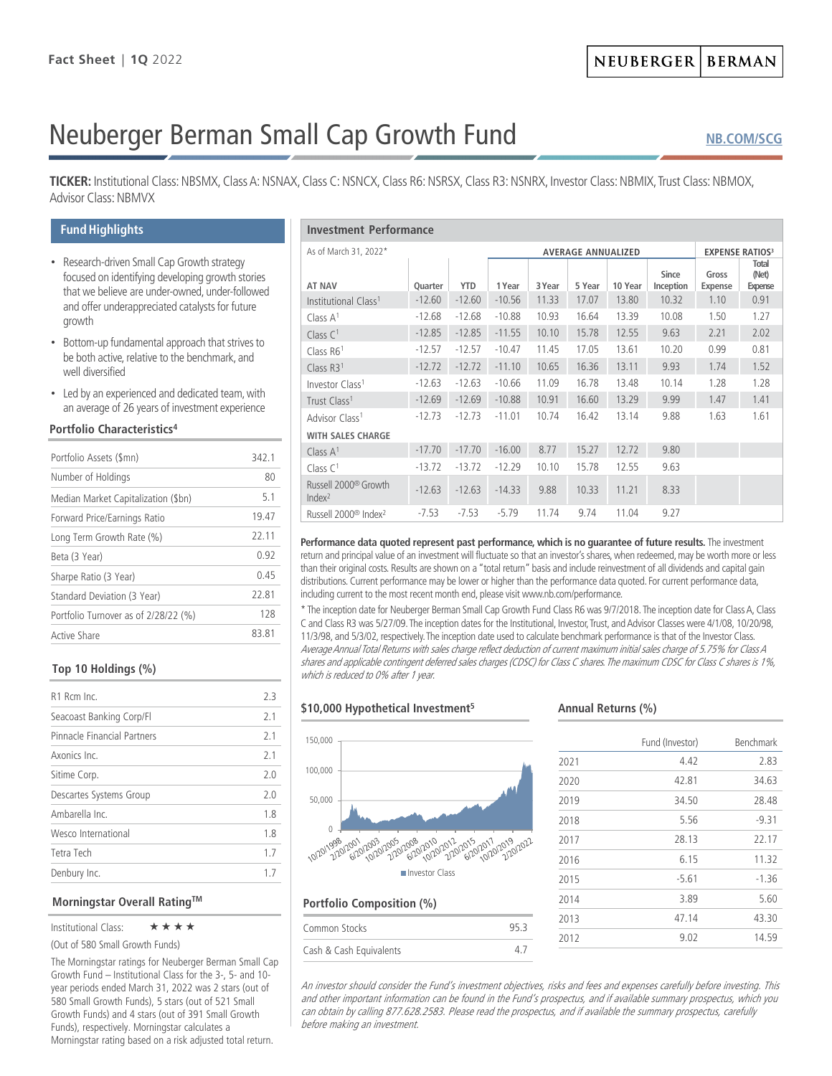# Neuberger Berman Small Cap Growth Fund

**[NB.COM/SCG](http://www.nb.com/Pages/Public/en-us/Products/small-cap-growth-fund.aspx)**

**TICKER:** Institutional Class: NBSMX, Class A: NSNAX, Class C: NSNCX, Class R6: NSRSX, Class R3: NSNRX, Investor Class: NBMIX, Trust Class: NBMOX, Advisor Class: NBMVX

# **Fund Highlights**

- Research-driven Small Cap Growth strategy focused on identifying developing growth stories that we believe are under-owned, under-followed and offer underappreciated catalysts for future growth
- Bottom-up fundamental approach that strives to be both active, relative to the benchmark, and well diversified
- Led by an experienced and dedicated team, with an average of 26 years of investment experience

# **Portfolio Characteristics4**

| Portfolio Assets (\$mn)              | 3421  |
|--------------------------------------|-------|
| Number of Holdings                   | 80    |
| Median Market Capitalization (\$bn)  | 51    |
| Forward Price/Earnings Ratio         | 19.47 |
| Long Term Growth Rate (%)            | 22.11 |
| Beta (3 Year)                        | 0.92  |
| Sharpe Ratio (3 Year)                | 0.45  |
| Standard Deviation (3 Year)          | 22.81 |
| Portfolio Turnover as of 2/28/22 (%) | 128   |
| Active Share                         | 83.81 |
|                                      |       |

# **Top 10 Holdings (%)**

| R <sub>1</sub> Rcm Inc      | 2.3 |
|-----------------------------|-----|
| Seacoast Banking Corp/Fl    | 2.1 |
| Pinnacle Financial Partners | 2.1 |
| Axonics Inc                 | 21  |
| Sitime Corp.                | 20  |
| Descartes Systems Group     | 2.0 |
| Ambarella Inc               | 18  |
| Wesco International         | 1.8 |
| Tetra Tech                  | 1.7 |
| Denbury Inc.                | 17  |
|                             |     |

## **Morningstar Overall RatingTM**

## Institutional Class: ★★★★

(Out of 580 Small Growth Funds)

The Morningstar ratings for Neuberger Berman Small Cap Growth Fund – Institutional Class for the 3-, 5- and 10 year periods ended March 31, 2022 was 2 stars (out of 580 Small Growth Funds), 5 stars (out of 521 Small Growth Funds) and 4 stars (out of 391 Small Growth Funds), respectively. Morningstar calculates a Morningstar rating based on a risk adjusted total return.

| <b>Investment Performance</b>                          |                |                           |          |        |        |                        |                    |                         |                           |
|--------------------------------------------------------|----------------|---------------------------|----------|--------|--------|------------------------|--------------------|-------------------------|---------------------------|
| As of March 31, 2022*                                  |                | <b>AVERAGE ANNUALIZED</b> |          |        |        | <b>EXPENSE RATIOS3</b> |                    |                         |                           |
| <b>AT NAV</b>                                          | <b>Ouarter</b> | <b>YTD</b>                | 1 Year   | 3 Year | 5 Year | 10 Year                | Since<br>Inception | Gross<br><b>Expense</b> | Total<br>(Net)<br>Expense |
| Institutional Class <sup>1</sup>                       | $-12.60$       | $-12.60$                  | $-10.56$ | 11.33  | 17.07  | 13.80                  | 10.32              | 1.10                    | 0.91                      |
| Class $A1$                                             | $-12.68$       | $-12.68$                  | $-10.88$ | 10.93  | 16.64  | 13.39                  | 10.08              | 1.50                    | 1.27                      |
| Class $C1$                                             | $-12.85$       | $-12.85$                  | $-11.55$ | 10.10  | 15.78  | 12.55                  | 9.63               | 2.21                    | 2.02                      |
| Class R61                                              | $-12.57$       | $-12.57$                  | $-10.47$ | 11.45  | 17.05  | 13.61                  | 10.20              | 0.99                    | 0.81                      |
| Class $R31$                                            | $-12.72$       | $-12.72$                  | $-11.10$ | 10.65  | 16.36  | 13.11                  | 9.93               | 1.74                    | 1.52                      |
| Investor Class <sup>1</sup>                            | $-12.63$       | $-12.63$                  | $-10.66$ | 11.09  | 16.78  | 13.48                  | 10.14              | 1.28                    | 1.28                      |
| Trust Class <sup>1</sup>                               | $-12.69$       | $-12.69$                  | $-10.88$ | 10.91  | 16.60  | 13.29                  | 9.99               | 1.47                    | 1.41                      |
| Advisor Class <sup>1</sup>                             | $-12.73$       | $-12.73$                  | $-11.01$ | 10.74  | 16.42  | 13.14                  | 9.88               | 1.63                    | 1.61                      |
| <b>WITH SALES CHARGE</b>                               |                |                           |          |        |        |                        |                    |                         |                           |
| Class $A^1$                                            | $-17.70$       | $-17.70$                  | $-16.00$ | 8.77   | 15.27  | 12.72                  | 9.80               |                         |                           |
| Class $C1$                                             | $-13.72$       | $-13.72$                  | $-12.29$ | 10.10  | 15.78  | 12.55                  | 9.63               |                         |                           |
| Russell 2000 <sup>®</sup> Growth<br>Index <sup>2</sup> | $-12.63$       | $-12.63$                  | $-14.33$ | 9.88   | 10.33  | 11.21                  | 8.33               |                         |                           |
| Russell 2000 <sup>®</sup> Index <sup>2</sup>           | $-7.53$        | $-7.53$                   | $-5.79$  | 11.74  | 9.74   | 11.04                  | 9.27               |                         |                           |

Performance data quoted represent past performance, which is no quarantee of future results. The investment return and principal value of an investment will fluctuate so that an investor's shares, when redeemed, may be worth more or less than their original costs. Results are shown on a "total return" basis and include reinvestment of all dividends and capital gain distributions. Current performance may be lower or higher than the performance data quoted. For current performance data, including current to the most recent month end, please visit www.nb.com/performance.

\* The inception date for Neuberger Berman Small Cap Growth Fund Class R6 was 9/7/2018. The inception date for Class A, Class C and Class R3 was 5/27/09. The inception dates for the Institutional, Investor, Trust, and Advisor Classes were 4/1/08, 10/20/98, 11/3/98, and 5/3/02, respectively. The inception date used to calculate benchmark performance is that of the Investor Class. Average Annual Total Returns with sales charge reflect deduction of current maximum initial sales charge of 5.75% for Class A shares and applicable contingent deferred sales charges (CDSC) for Class C shares. The maximum CDSC for Class C shares is 1%, which is reduced to 0% after 1 year.

## **\$10,000 Hypothetical Investment5**



# **Portfolio Composition (%)**

| Common Stocks           | 95.3 |
|-------------------------|------|
| Cash & Cash Equivalents |      |

## **Annual Returns (%)**

| 4.42    | 2.83    |
|---------|---------|
| 42.81   | 34.63   |
| 34.50   | 28.48   |
| 5.56    | $-9.31$ |
| 28.13   | 22.17   |
| 6.15    | 11.32   |
| $-5.61$ | $-1.36$ |
| 3.89    | 5.60    |
| 47.14   | 43.30   |
| 9.02    | 14.59   |
|         |         |

An investor should consider the Fund's investment objectives, risks and fees and expenses carefully before investing. This and other important information can be found in the Fund's prospectus, and if available summary prospectus, which you can obtain by calling 877.628.2583. Please read the prospectus, and if available the summary prospectus, carefully before making an investment.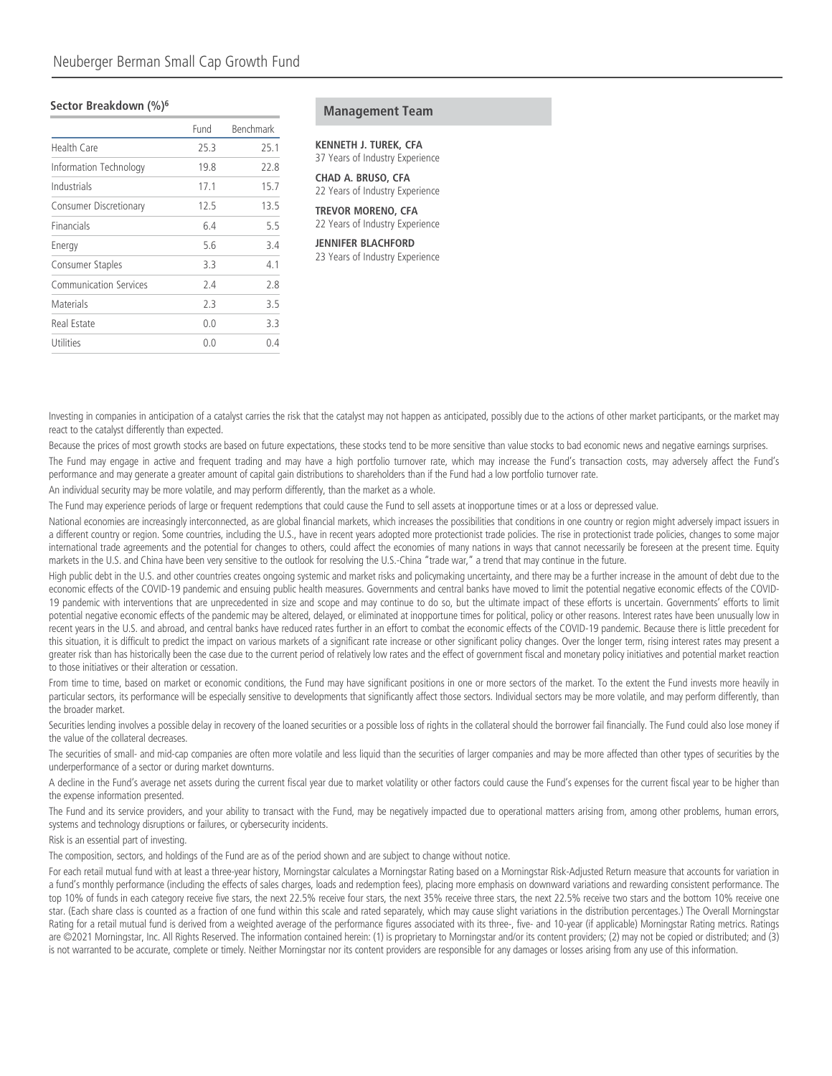#### **Sector Breakdown (%)6**

|                               | Fund | Benchmark |
|-------------------------------|------|-----------|
| <b>Health Care</b>            | 25.3 | 25.1      |
| Information Technology        | 19.8 | 22.8      |
| Industrials                   | 17.1 | 15.7      |
| <b>Consumer Discretionary</b> | 12.5 | 13.5      |
| Financials                    | 6.4  | 5.5       |
| Energy                        | 5.6  | 3.4       |
| Consumer Staples              | 3.3  | 4.1       |
| Communication Services        | 2.4  | 2.8       |
| Materials                     | 2.3  | 3.5       |
| Real Estate                   | 0.0  | 3.3       |
| Utilities                     | 0.0  | 04        |
|                               |      |           |

#### **Management Team**

## **KENNETH J. TUREK, CFA**

37 Years of Industry Experience

**CHAD A. BRUSO, CFA** 22 Years of Industry Experience

**TREVOR MORENO, CFA** 22 Years of Industry Experience

#### **JENNIFER BLACHFORD**

23 Years of Industry Experience

Investing in companies in anticipation of a catalyst carries the risk that the catalyst may not happen as anticipated, possibly due to the actions of other market participants, or the market may react to the catalyst differently than expected.

Because the prices of most growth stocks are based on future expectations, these stocks tend to be more sensitive than value stocks to bad economic news and negative earnings surprises. The Fund may engage in active and frequent trading and may have a high portfolio turnover rate, which may increase the Fund's transaction costs, may adversely affect the Fund's performance and may generate a greater amount of capital gain distributions to shareholders than if the Fund had a low portfolio turnover rate.

An individual security may be more volatile, and may perform differently, than the market as a whole.

The Fund may experience periods of large or frequent redemptions that could cause the Fund to sell assets at inopportune times or at a loss or depressed value.

National economies are increasingly interconnected, as are global financial markets, which increases the possibilities that conditions in one country or region might adversely impact issuers in a different country or region. Some countries, including the U.S., have in recent years adopted more protectionist trade policies. The rise in protectionist trade policies, changes to some major international trade agreements and the potential for changes to others, could affect the economies of many nations in ways that cannot necessarily be foreseen at the present time. Equity markets in the U.S. and China have been very sensitive to the outlook for resolving the U.S.-China "trade war," a trend that may continue in the future.

High public debt in the U.S. and other countries creates ongoing systemic and market risks and policymaking uncertainty, and there may be a further increase in the amount of debt due to the economic effects of the COVID-19 pandemic and ensuing public health measures. Governments and central banks have moved to limit the potential negative economic effects of the COVID-19 pandemic with interventions that are unprecedented in size and scope and may continue to do so, but the ultimate impact of these efforts is uncertain. Governments' efforts to limit potential negative economic effects of the pandemic may be altered, delayed, or eliminated at inopportune times for political, policy or other reasons. Interest rates have been unusually low in recent years in the U.S. and abroad, and central banks have reduced rates further in an effort to combat the economic effects of the COVID-19 pandemic. Because there is little precedent for this situation, it is difficult to predict the impact on various markets of a significant rate increase or other significant policy changes. Over the longer term, rising interest rates may present a greater risk than has historically been the case due to the current period of relatively low rates and the effect of government fiscal and monetary policy initiatives and potential market reaction to those initiatives or their alteration or cessation.

From time to time, based on market or economic conditions, the Fund may have significant positions in one or more sectors of the market. To the extent the Fund invests more heavily in particular sectors, its performance will be especially sensitive to developments that significantly affect those sectors. Individual sectors may be more volatile, and may perform differently, than the broader market.

Securities lending involves a possible delay in recovery of the loaned securities or a possible loss of rights in the collateral should the borrower fail financially. The Fund could also lose money if the value of the collateral decreases.

The securities of small- and mid-cap companies are often more volatile and less liquid than the securities of larger companies and may be more affected than other types of securities by the underperformance of a sector or during market downturns.

A decline in the Fund's average net assets during the current fiscal year due to market volatility or other factors could cause the Fund's expenses for the current fiscal year to be higher than the expense information presented.

The Fund and its service providers, and your ability to transact with the Fund, may be negatively impacted due to operational matters arising from, among other problems, human errors, systems and technology disruptions or failures, or cybersecurity incidents.

Risk is an essential part of investing.

The composition, sectors, and holdings of the Fund are as of the period shown and are subject to change without notice.

For each retail mutual fund with at least a three-year history, Morningstar calculates a Morningstar Rating based on a Morningstar Risk-Adjusted Return measure that accounts for variation in a fund's monthly performance (including the effects of sales charges, loads and redemption fees), placing more emphasis on downward variations and rewarding consistent performance. The top 10% of funds in each category receive five stars, the next 22.5% receive four stars, the next 35% receive three stars, the next 22.5% receive two stars and the bottom 10% receive one star. (Each share class is counted as a fraction of one fund within this scale and rated separately, which may cause slight variations in the distribution percentages.) The Overall Morningstar Rating for a retail mutual fund is derived from a weighted average of the performance figures associated with its three-, five- and 10-year (if applicable) Morningstar Rating metrics. Ratings are ©2021 Morningstar, Inc. All Rights Reserved. The information contained herein: (1) is proprietary to Morningstar and/or its content providers; (2) may not be copied or distributed; and (3) is not warranted to be accurate, complete or timely. Neither Morningstar nor its content providers are responsible for any damages or losses arising from any use of this information.